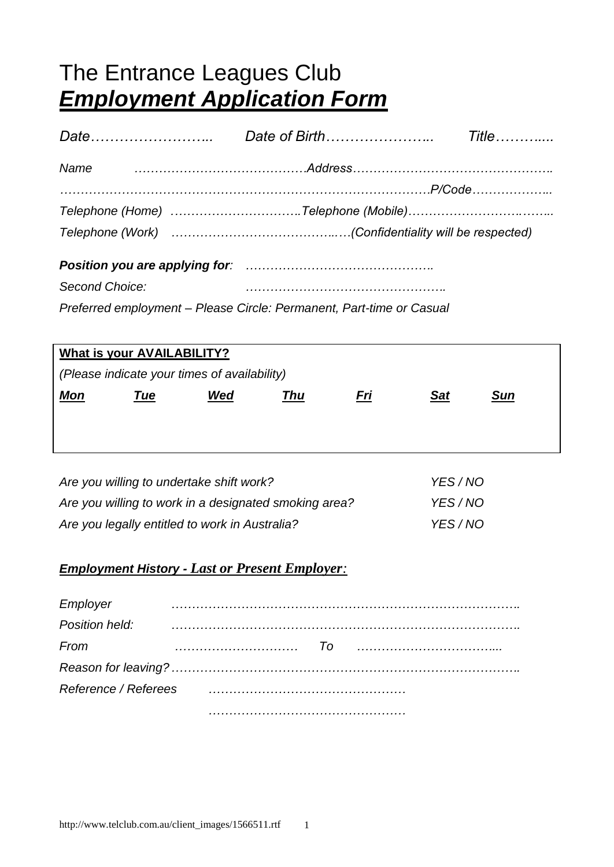# The Entrance Leagues Club *Employment Application Form*

|  | Name matures and the set of the set of the set of the set of an anti- |  |
|--|-----------------------------------------------------------------------|--|
|  |                                                                       |  |
|  | Telephone (Home) Telephone (Mobile)                                   |  |
|  |                                                                       |  |

*Position you are applying for: ………………………………………. Second Choice: ………………………………………….*

*Preferred employment – Please Circle: Permanent, Part-time or Casual*

| <b>What is your AVAILABILITY?</b>            |     |     |            |            |            |            |
|----------------------------------------------|-----|-----|------------|------------|------------|------------|
| (Please indicate your times of availability) |     |     |            |            |            |            |
| <u>Mon</u>                                   | Tue | Wed | <b>Thu</b> | <u>Fri</u> | <b>Sat</b> | <u>Sun</u> |
|                                              |     |     |            |            |            |            |
|                                              |     |     |            |            |            |            |
|                                              |     |     |            |            |            |            |

| Are you willing to undertake shift work?              | YES/NO |
|-------------------------------------------------------|--------|
| Are you willing to work in a designated smoking area? | YES/NO |
| Are you legally entitled to work in Australia?        | YES/NO |

## *Employment History - Last or Present Employer:*

| Employer             |  |  |  |  |
|----------------------|--|--|--|--|
| Position held:       |  |  |  |  |
| From                 |  |  |  |  |
|                      |  |  |  |  |
| Reference / Referees |  |  |  |  |
|                      |  |  |  |  |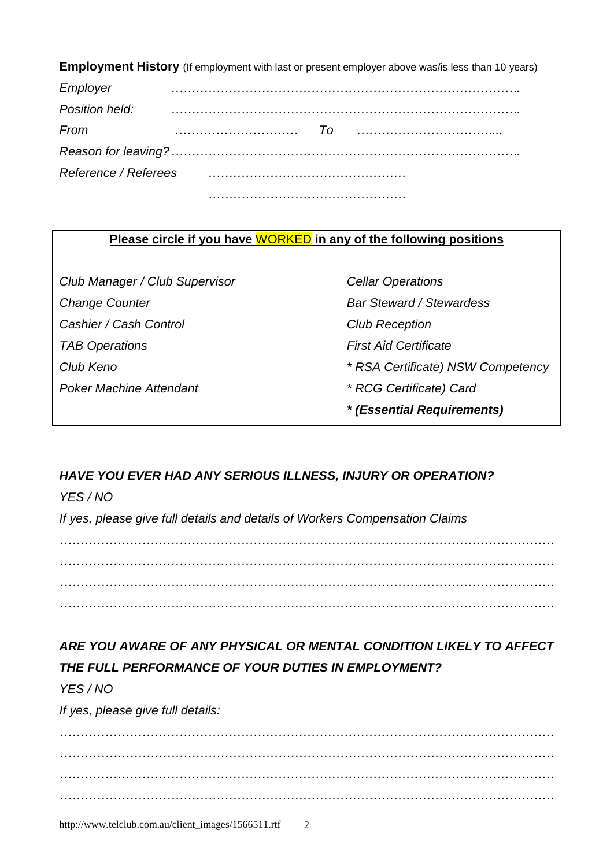**Employment History** (If employment with last or present employer above was/is less than 10 years)

| Employer       |                                                                 |         |  |
|----------------|-----------------------------------------------------------------|---------|--|
| Position held: |                                                                 |         |  |
| From           |                                                                 | $T_{0}$ |  |
|                |                                                                 |         |  |
|                | Reference / Referees [11] [11] Reference / Reference / Referees |         |  |
|                |                                                                 |         |  |

## **Please circle if you have** WORKED **in any of the following positions**

*Club Manager / Club Supervisor Cellar Operations* **Change Counter Counter Counter Bar Steward / Stewardess** *Cashier / Cash Control Club Reception TAB Operations First Aid Certificate Poker Machine Attendant \* RCG Certificate) Card*

*Club Keno \* RSA Certificate) NSW Competency \* (Essential Requirements)*

# *HAVE YOU EVER HAD ANY SERIOUS ILLNESS, INJURY OR OPERATION?*

*YES / NO*

*If yes, please give full details and details of Workers Compensation Claims*

*………………………………………………………………………………………………………… ………………………………………………………………………………………………………… ………………………………………………………………………………………………………… …………………………………………………………………………………………………………*

# *ARE YOU AWARE OF ANY PHYSICAL OR MENTAL CONDITION LIKELY TO AFFECT THE FULL PERFORMANCE OF YOUR DUTIES IN EMPLOYMENT?*

## *YES / NO*

*If yes, please give full details:*

*………………………………………………………………………………………………………… ………………………………………………………………………………………………………… ………………………………………………………………………………………………………… …………………………………………………………………………………………………………*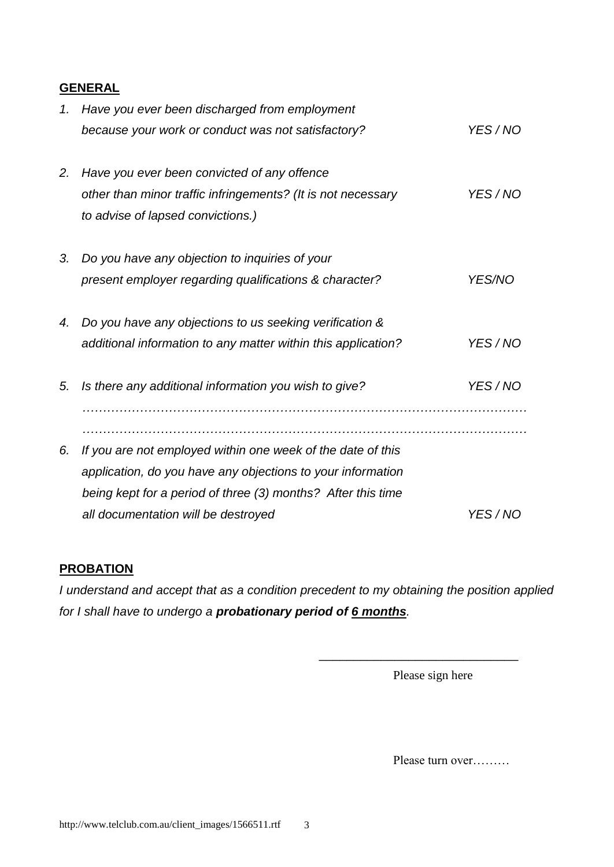### **GENERAL**

| 1. | Have you ever been discharged from employment                 |          |
|----|---------------------------------------------------------------|----------|
|    | because your work or conduct was not satisfactory?            | YES/NO   |
| 2. | Have you ever been convicted of any offence                   |          |
|    | other than minor traffic infringements? (It is not necessary  | YES/NO   |
|    | to advise of lapsed convictions.)                             |          |
| 3. | Do you have any objection to inquiries of your                |          |
|    | present employer regarding qualifications & character?        | YES/NO   |
| 4. | Do you have any objections to us seeking verification &       |          |
|    | additional information to any matter within this application? | YES/NO   |
| 5. | Is there any additional information you wish to give?         | YES/NO   |
|    |                                                               |          |
| 6. | If you are not employed within one week of the date of this   |          |
|    | application, do you have any objections to your information   |          |
|    | being kept for a period of three (3) months? After this time  |          |
|    | all documentation will be destroyed                           | YES / NO |

### **PROBATION**

*I understand and accept that as a condition precedent to my obtaining the position applied for I shall have to undergo a probationary period of 6 months.*

Please sign here

\_\_\_\_\_\_\_\_\_\_\_\_\_\_\_\_\_\_\_\_\_\_\_\_\_\_\_\_\_

Please turn over………